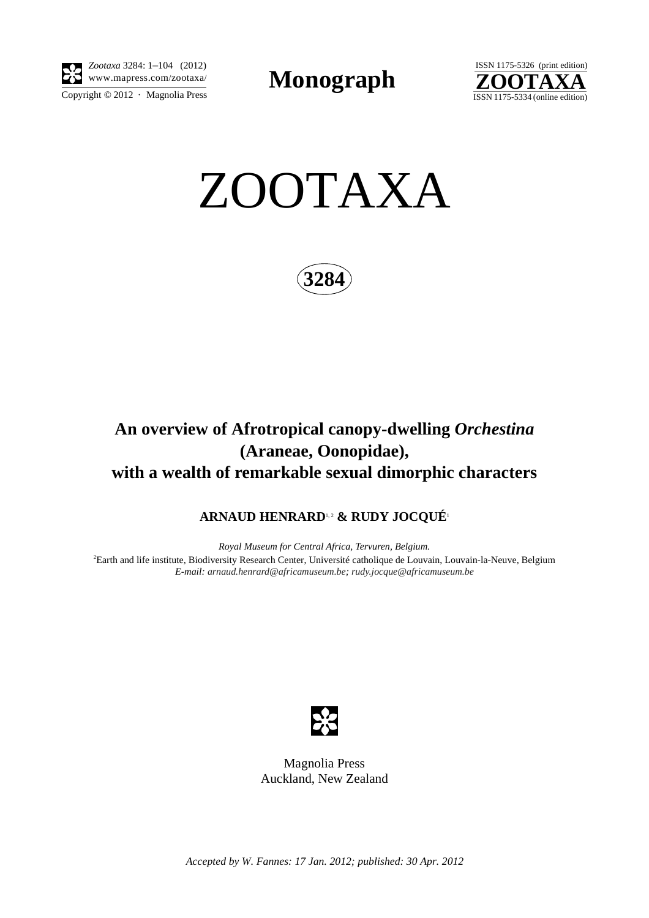

Copyright  $\odot$  2012 · Magnolia Press *Zootaxa* 3284: 1–104 (2012) www.mapress.com/zootaxa/ **Monograph**





**3284**

# **An overview of Afrotropical canopy-dwelling** *Orchestina* **(Araneae, Oonopidae), with a wealth of remarkable sexual dimorphic characters**

# **ARNAUD HENRARD**1, 2 **& RUDY JOCQUÉ**<sup>1</sup>

*Royal Museum for Central Africa, Tervuren, Belgium.* 2 Earth and life institute, Biodiversity Research Center, Université catholique de Louvain, Louvain-la-Neuve, Belgium *E-mail: [arnaud.henrard@africamuseum.be](mailto:arnaud.henra); [rudy.jocque@africamuseum.be](mailto:rudy.jocque@africamuseum.be)*



Magnolia Press Auckland, New Zealand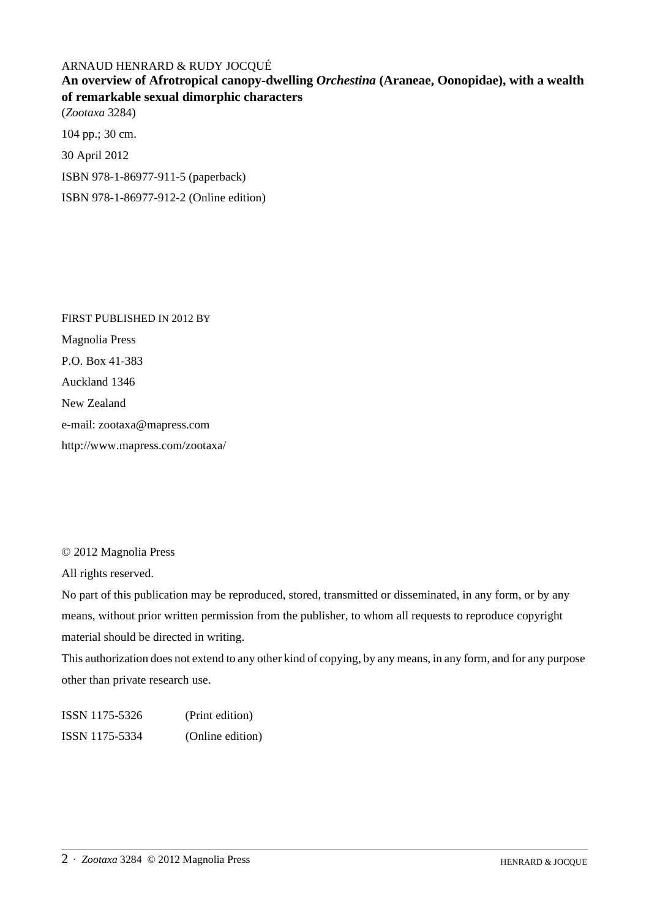## ARNAUD HENRARD & RUDY JOCQUÉ

**An overview of Afrotropical canopy-dwelling** *Orchestina* **(Araneae, Oonopidae), with a wealth of remarkable sexual dimorphic characters** (*Zootaxa* 3284)

104 pp.; 30 cm. 30 April 2012 ISBN 978-1-86977-911-5 (paperback) ISBN 978-1-86977-912-2 (Online edition)

FIRST PUBLISHED IN 2012 BY Magnolia Press P.O. Box 41-383 Auckland 1346 New Zealand e-mail: zootaxa@mapress.com http://www.mapress.com/zootaxa/

© 2012 Magnolia Press

All rights reserved.

No part of this publication may be reproduced, stored, transmitted or disseminated, in any form, or by any means, without prior written permission from the publisher, to whom all requests to reproduce copyright material should be directed in writing.

This authorization does not extend to any other kind of copying, by any means, in any form, and for any purpose other than private research use.

ISSN 1175-5326 (Print edition) ISSN 1175-5334 (Online edition)